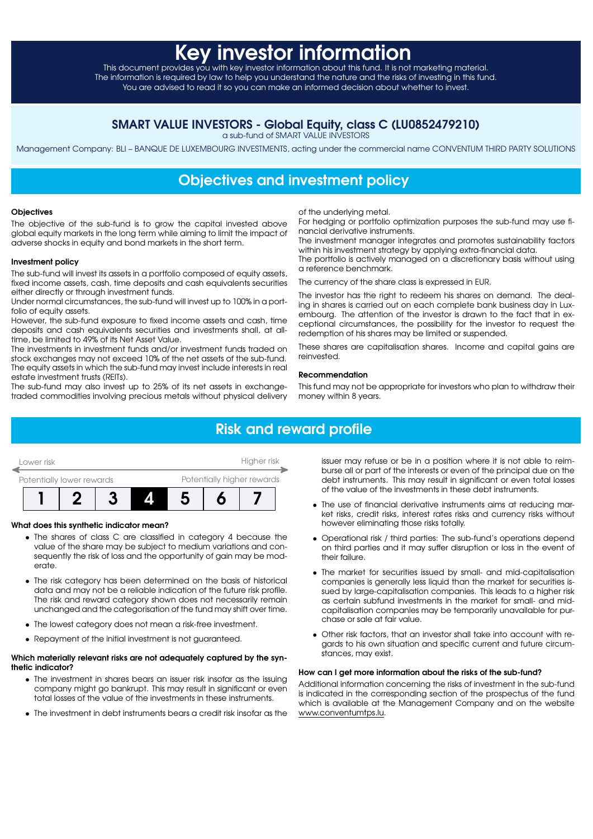# **Key investor information**

This document provides you with key investor information about this fund. It is not marketing material. The information is required by law to help you understand the nature and the risks of investing in this fund. You are advised to read it so you can make an informed decision about whether to invest.

### SMART VALUE INVESTORS - Global Equity, class C (LU0852479210)

a sub-fund of SMART VALUE INVESTORS

Management Company: BLI – BANQUE DE LUXEMBOURG INVESTMENTS, acting under the commercial name CONVENTUM THIRD PARTY SOLUTIONS

## Objectives and investment policy

#### **Objectives**

The objective of the sub-fund is to grow the capital invested above global equity markets in the long term while aiming to limit the impact of adverse shocks in equity and bond markets in the short term.

#### Investment policy

The sub-fund will invest its assets in a portfolio composed of equity assets, fixed income assets, cash, time deposits and cash equivalents securities either directly or through investment funds.

Under normal circumstances, the sub-fund will invest up to 100% in a portfolio of equity assets.

However, the sub-fund exposure to fixed income assets and cash, time deposits and cash equivalents securities and investments shall, at alltime, be limited to 49% of its Net Asset Value.

The investments in investment funds and/or investment funds traded on stock exchanges may not exceed 10% of the net assets of the sub-fund. The equity assets in which the sub-fund may invest include interests in real estate investment trusts (REITs).

The sub-fund may also invest up to 25% of its net assets in exchangetraded commodities involving precious metals without physical delivery of the underlying metal.

For hedging or portfolio optimization purposes the sub-fund may use financial derivative instruments.

The investment manager integrates and promotes sustainability factors within his investment strategy by applying extra-financial data.

The portfolio is actively managed on a discretionary basis without using a reference benchmark.

The currency of the share class is expressed in EUR.

The investor has the right to redeem his shares on demand. The dealing in shares is carried out on each complete bank business day in Luxembourg. The attention of the investor is drawn to the fact that in exceptional circumstances, the possibility for the investor to request the redemption of his shares may be limited or suspended.

These shares are capitalisation shares. Income and capital gains are reinvested.

#### Recommendation

This fund may not be appropriate for investors who plan to withdraw their money within 8 years.

# Risk and reward profile



#### What does this synthetic indicator mean?

- The shares of class C are classified in category 4 because the value of the share may be subject to medium variations and consequently the risk of loss and the opportunity of gain may be moderate.
- The risk category has been determined on the basis of historical data and may not be a reliable indication of the future risk profile. The risk and reward category shown does not necessarily remain unchanged and the categorisation of the fund may shift over time.
- The lowest category does not mean a risk-free investment.
- Repayment of the initial investment is not guaranteed.

#### Which materially relevant risks are not adequately captured by the synthetic indicator?

- The investment in shares bears an issuer risk insofar as the issuing company might go bankrupt. This may result in significant or even total losses of the value of the investments in these instruments.
- The investment in debt instruments bears a credit risk insofar as the

issuer may refuse or be in a position where it is not able to reimburse all or part of the interests or even of the principal due on the debt instruments. This may result in significant or even total losses of the value of the investments in these debt instruments.

- The use of financial derivative instruments aims at reducing market risks, credit risks, interest rates risks and currency risks without however eliminating those risks totally.
- Operational risk / third parties: The sub-fund's operations depend on third parties and it may suffer disruption or loss in the event of their failure.
- The market for securities issued by small- and mid-capitalisation companies is generally less liquid than the market for securities issued by large-capitalisation companies. This leads to a higher risk as certain subfund investments in the market for small- and midcapitalisation companies may be temporarily unavailable for purchase or sale at fair value.
- Other risk factors, that an investor shall take into account with regards to his own situation and specific current and future circumstances, may exist.

#### How can I get more information about the risks of the sub-fund?

Additional information concerning the risks of investment in the sub-fund is indicated in the corresponding section of the prospectus of the fund which is available at the Management Company and on the website [www.conventumtps.lu.](http://www.conventumtps.lu)